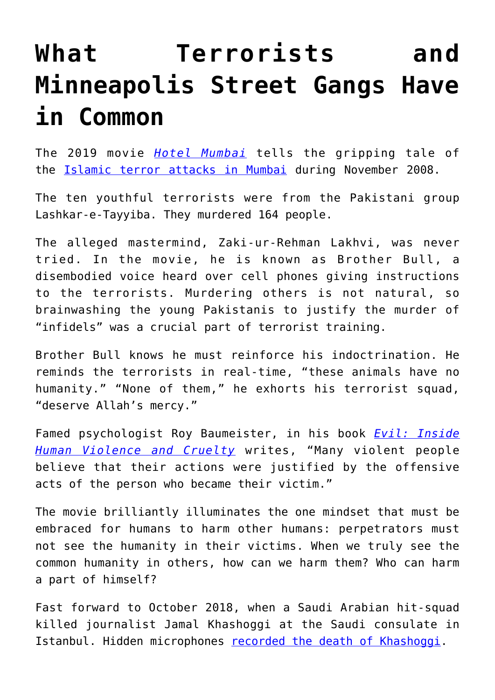## **[What Terrorists and](https://intellectualtakeout.org/2019/09/what-terrorists-and-minneapolis-street-gangs-have-in-common/) [Minneapolis Street Gangs Have](https://intellectualtakeout.org/2019/09/what-terrorists-and-minneapolis-street-gangs-have-in-common/) [in Common](https://intellectualtakeout.org/2019/09/what-terrorists-and-minneapolis-street-gangs-have-in-common/)**

The 2019 movie *[Hotel Mumbai](https://www.nbcnews.com/pop-culture/movies/hotel-mumbai-film-brings-old-wounds-light-survivors-terror-attacks-n986361)* tells the gripping tale of the *Islamic terror attacks in Mumbai* during November 2008.

The ten youthful terrorists were from the Pakistani group Lashkar-e-Tayyiba. They murdered 164 people.

The alleged mastermind, Zaki-ur-Rehman Lakhvi, was never tried. In the movie, he is known as Brother Bull, a disembodied voice heard over cell phones giving instructions to the terrorists. Murdering others is not natural, so brainwashing the young Pakistanis to justify the murder of "infidels" was a crucial part of terrorist training.

Brother Bull knows he must reinforce his indoctrination. He reminds the terrorists in real-time, "these animals have no humanity." "None of them," he exhorts his terrorist squad, "deserve Allah's mercy."

Famed psychologist Roy Baumeister, in his book *[Evil: Inside](https://www.amazon.com/gp/product/0805071652/ref=as_li_qf_asin_il_tl?ie=UTF8&tag=intelltakeo0d-20&creative=9325&linkCode=as2&creativeASIN=0805071652&linkId=d64f162abec70996d17e8baa4a116303) [Human Violence and Cruelty](https://www.amazon.com/gp/product/0805071652/ref=as_li_qf_asin_il_tl?ie=UTF8&tag=intelltakeo0d-20&creative=9325&linkCode=as2&creativeASIN=0805071652&linkId=d64f162abec70996d17e8baa4a116303)* writes, "Many violent people believe that their actions were justified by the offensive acts of the person who became their victim."

The movie brilliantly illuminates the one mindset that must be embraced for humans to harm other humans: perpetrators must not see the humanity in their victims. When we truly see the common humanity in others, how can we harm them? Who can harm a part of himself?

Fast forward to October 2018, when a Saudi Arabian hit-squad killed journalist Jamal Khashoggi at the Saudi consulate in Istanbul. Hidden microphones [recorded the death of Khashoggi](https://www.dailymail.co.uk/news/article-7446731/Full-transcript-Jamal-Khashoggis-final-moments-inside-Istanbul-consulate-revealed.html).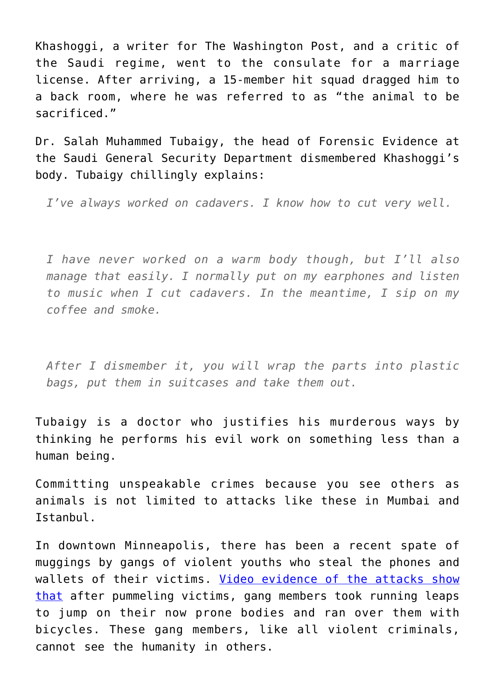Khashoggi, a writer for The Washington Post, and a critic of the Saudi regime, went to the consulate for a marriage license. After arriving, a 15-member hit squad dragged him to a back room, where he was referred to as "the animal to be sacrificed."

Dr. Salah Muhammed Tubaigy, the head of Forensic Evidence at the Saudi General Security Department dismembered Khashoggi's body. Tubaigy chillingly explains:

*I've always worked on cadavers. I know how to cut very well.*

*I have never worked on a warm body though, but I'll also manage that easily. I normally put on my earphones and listen to music when I cut cadavers. In the meantime, I sip on my coffee and smoke.*

*After I dismember it, you will wrap the parts into plastic bags, put them in suitcases and take them out.*

Tubaigy is a doctor who justifies his murderous ways by thinking he performs his evil work on something less than a human being.

Committing unspeakable crimes because you see others as animals is not limited to attacks like these in Mumbai and Istanbul.

In downtown Minneapolis, there has been a recent spate of muggings by gangs of violent youths who steal the phones and wallets of their victims. [Video evidence of the attacks show](https://minnesota.cbslocal.com/2019/09/16/20-arrested-18-charged-in-brutal-downtown-minneapolis-robberies/?fbclid=IwAR1SHWMLjU2aTZBP9x9TTD9VBwNSMaFoI_daIZOI3btwYQ1PpxpdOYy-BcE%20stopmed%20run%20bicyle) [that](https://minnesota.cbslocal.com/2019/09/16/20-arrested-18-charged-in-brutal-downtown-minneapolis-robberies/?fbclid=IwAR1SHWMLjU2aTZBP9x9TTD9VBwNSMaFoI_daIZOI3btwYQ1PpxpdOYy-BcE%20stopmed%20run%20bicyle) after pummeling victims, gang members took running leaps to jump on their now prone bodies and ran over them with bicycles. These gang members, like all violent criminals, cannot see the humanity in others.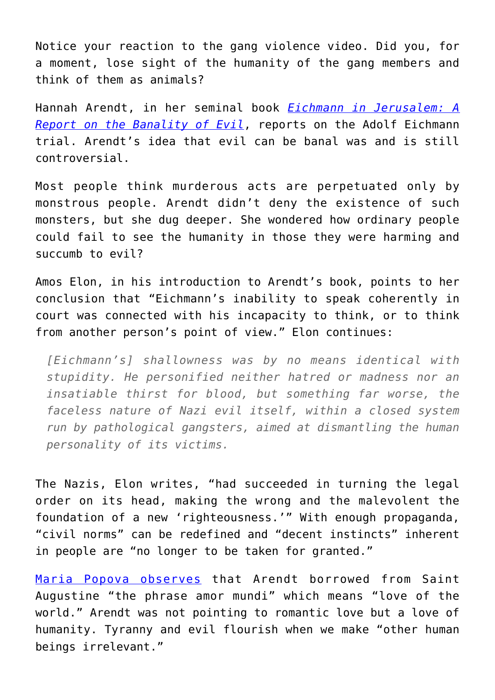Notice your reaction to the gang violence video. Did you, for a moment, lose sight of the humanity of the gang members and think of them as animals?

Hannah Arendt, in her seminal book *[Eichmann in Jerusalem: A](https://www.amazon.com/gp/product/0143039881/ref=as_li_qf_asin_il_tl?ie=UTF8&tag=intelltakeo0d-20&creative=9325&linkCode=as2&creativeASIN=0143039881&linkId=125d45631e251dccb4bbe629d71faed7) [Report on the Banality of Evil](https://www.amazon.com/gp/product/0143039881/ref=as_li_qf_asin_il_tl?ie=UTF8&tag=intelltakeo0d-20&creative=9325&linkCode=as2&creativeASIN=0143039881&linkId=125d45631e251dccb4bbe629d71faed7)*, reports on the Adolf Eichmann trial. Arendt's idea that evil can be banal was and is still controversial.

Most people think murderous acts are perpetuated only by monstrous people. Arendt didn't deny the existence of such monsters, but she dug deeper. She wondered how ordinary people could fail to see the humanity in those they were harming and succumb to evil?

Amos Elon, in his introduction to Arendt's book, points to her conclusion that "Eichmann's inability to speak coherently in court was connected with his incapacity to think, or to think from another person's point of view." Elon continues:

*[Eichmann's] shallowness was by no means identical with stupidity. He personified neither hatred or madness nor an insatiable thirst for blood, but something far worse, the faceless nature of Nazi evil itself, within a closed system run by pathological gangsters, aimed at dismantling the human personality of its victims.*

The Nazis, Elon writes, "had succeeded in turning the legal order on its head, making the wrong and the malevolent the foundation of a new 'righteousness.'" With enough propaganda, "civil norms" can be redefined and "decent instincts" inherent in people are "no longer to be taken for granted."

[Maria Popova observes](https://getpocket.com/explore/item/hannah-arendt-on-love-and-how-to-live-with-the-fundamental-fear-of-loss) that Arendt borrowed from Saint Augustine "the phrase amor mundi" which means "love of the world." Arendt was not pointing to romantic love but a love of humanity. Tyranny and evil flourish when we make "other human beings irrelevant."